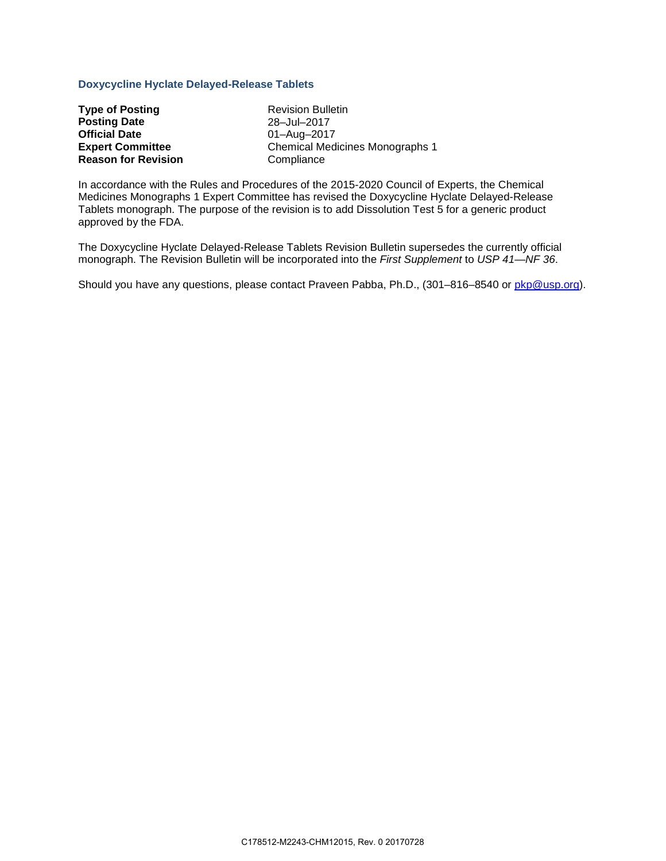## **Doxycycline Hyclate Delayed-Release Tablets**

| <b>Type of Posting</b>     |
|----------------------------|
| <b>Posting Date</b>        |
| <b>Official Date</b>       |
| <b>Expert Committee</b>    |
| <b>Reason for Revision</b> |

**Revision Bulletin Posting Date** 28–Jul–2017 **Official Date** 01–Aug–2017 **Expert Committee** Chemical Medicines Monographs 1 **Compliance** 

In accordance with the Rules and Procedures of the 2015-2020 Council of Experts, the Chemical Medicines Monographs 1 Expert Committee has revised the Doxycycline Hyclate Delayed-Release Tablets monograph. The purpose of the revision is to add Dissolution Test 5 for a generic product approved by the FDA.

The Doxycycline Hyclate Delayed-Release Tablets Revision Bulletin supersedes the currently official monograph. The Revision Bulletin will be incorporated into the *First Supplement* to *USP 41—NF 36*.

Should you have any questions, please contact Praveen Pabba, Ph.D., (301-816-8540 or [pkp@usp.org\)](mailto:pkp@usp.org).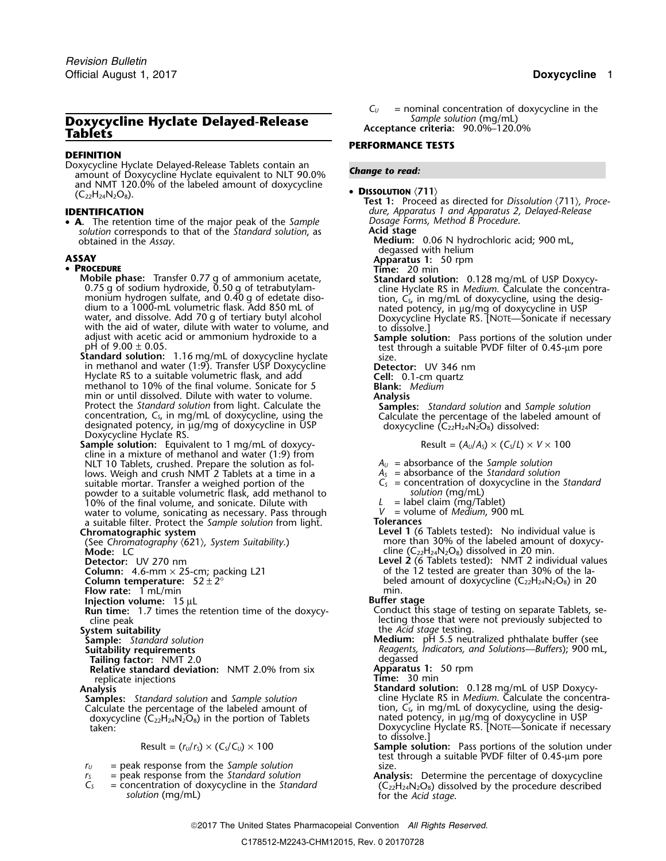# **Doxycycline Hyclate Delayed-Release** *Sample solution* (mg/mL)

### **DEFINITION**

Doxycycline Hyclate Delayed-Release Tablets contain an *Change to read:* amount of Doxycycline Hyclate equivalent to NLT 90.0% and NMT 120.0% of the labeled amount of doxycycline  $(C_{22}H_{24}N_2O_8)$ .

• **<sup>A</sup>.** The retention time of the major peak of the *Sample Dosage Forms, Method B Procedure*. *solution* corresponds to that of the *Standard solution*, as **Acid stage**<br>**Medium:** 

### • PROCEDURE

- **Mobile phase:** Transfer 0.77 g of ammonium acetate, **Standard solution:** 0.128 mg/mL of USP Doxycy-<br>
0.75 g of sodium hydroxide, 0.50 g of tetrabutylam-<br>
monium hydrogen sulfate, and 0.40 g of edetate diso-<br>
dium to a 100 dium to a 1000-mL volumetric flask. Add 850 mL of water, and dissolve. Add 70 g of tertiary butyl alcohol water, and dissolve. Add 70 g of tertiary butyl alcohol with the aid of water, dilute with water to volume, and adju
- in methanol and water (1:9). Transfer USP Doxycycline **Detector:** UV 346 nm in methanol and water (1:9). Transfer USP Doxycycline **Cell:** Detector: UV 346 nm<br>
Hyclate RS to a suitable volumetric flask, and add **Cell:** 0.1-cm quartz methanol to 10% of the final volume. Sonicate for 5 **Blank:** *Medi* min or until dissolved. Dilute with water to volume.<br>
Protect the *Standard solution* from light. Calculate the<br>
concentration,  $C_s$ , in mg/mL of doxycycline, using the<br>
designated potency, in  $\mu g/mg$  of doxycycline in US
- **Sample solution:** Equivalent to 1 mg/mL of doxycycline in a mixture of methanol and water (1:9) from NLT 10 Tablets, crushed. Prepare the solution as fol-<br>lows. Weigh and crush NMT 2 Tablets at a time in a  $A<sub>S</sub>$  = absorbance of the *Standard solution* lows. Weigh and crush NMT<sup>'</sup>2 Tablets at a time in a suitable mortar. Transfer a weighed portion of the powder to a suitable volumetric flask, add methanol to *solution* (mg/mL) 10% of the final volume, and sonicate. Dilute with *<sup>L</sup>* = label claim (mg/Tablet) water to volume, sonicating as necessary. Pass through  $V =$  volume of *Medium*, 900 mL a suitable filter. Protect the *Sample solution* from light. **Tolerances** a suitable filter. Protect the *Sample solution* from light. **Tolerances**

(See Chromatography *〈621〉, System Suitability.*)<br>**Mode:** LC

- 
- **Flow rate:** 1 mL/min min. min. min. min. min. min. min.
- 
- **Run time:** 1.7 times the retention time of the doxycy-<br>cline peak

Tailing factor: NMT 2.0<br>**Relative standard deviation:** NMT 2.0% from six **Apparatus 1:** 50 rpm **Relative standard deviation:** NMT 2.0% from six **Apparatus 1: Apparatus 1: Fime:** 30 min replicate injections<br>**Analysis** 

- 
- doxycycline  $\langle C_{22}H_{24}N_{2}O_{8}\rangle$  in the portion of Tablets nated potency, in  $\mu$ g/mg of doxycycline in USP

$$
Result = (r_U/r_S) \times (C_S/C_U) \times 100
$$

- $r_U$  = peak response from the *Sample solution* size size size size size size and the *Standard solution* **size Analmum**
- 

**Acceptance criteria: 90.0%–120.0%** 

### **PERFORMANCE TESTS**

**DISSOLUTION**  $\langle 711 \rangle$ <br> **Test 1:** Proceed as directed for *Dissolution*  $\langle 711 \rangle$ *, Proce-***IDENTIFICATION** *dure, Apparatus 1 and Apparatus 2, Delayed-Release*

**Medium:** 0.06 N hydrochloric acid; 900 mL, degassed with helium **degased with helium and the set of the set of the set of the set of the set of the set of the set of the set of the set of the set of the set of the set of the set of the set of the set of the set of the set of the set of** 

**Time:** 20 min

pH of 9.00 ± 0.05.<br>**Standard solution:** 1.16 mg/mL of doxycycline hyclate size. size.

$$
Result = (A_U/A_S) \times (C_S/L) \times V \times 100
$$

- 
- 
- $C<sub>S</sub>$  = concentration of doxycycline in the *Standard* solution (mg/mL)
- 
- 

- **Level 1** (6 Tablets tested): No individual value is more than 30% of the labeled amount of doxycy-**Mode:** LC cline ( $\text{C}_{22}$ H<sub>24</sub>N<sub>2</sub>O<sub>8</sub>) dissolved in 20 min.
- **Detector:** UV 270 nm **Level 2** (6 Tablets tested)**:** NMT 2 individual values **Column:**  $4.6\text{-mm} \times 25\text{-cm}$ ; packing L21 of the 12 tested are greater than 30% of the la-<br> **Column temperature:**  $52 \pm 2^{\circ}$ beled amount of doxycycline (C<sub>22</sub>H<sub>24</sub>N<sub>2</sub>O<sub>8</sub>) in 20<br>min.

- **Injection volume:** 15 µL<br>**Run time:** 1.7 times the retention time of the doxycy-<br>Conduct this stage of testing on separate Tablets, secline peak lecting those that were not previously subjected to<br>System suitability subjected to the Acid stage testing.
- **System suitability** the *Acid stage* testing. **Sample:** *Standard solution* **Medium:** pH 5.5 neutralized phthalate buffer (see<br>**Suitability requirements Medium:** *Reagents, Indicators, and Solutions—Buffers*); 900 m **Suitability requirements** *Reagents, Indicators, and Solutions—Buffers*); 900 mL,

- **Analysis Standard solution:** 0.128 mg/mL of USP Doxycy-**Samples:** *Standard solution* and *Sample solution* cline Hyclate RS in *Medium*. Calculate the concentra-Calculate the percentage of the labeled amount of the tion,  $C_5$ , in mg/mL of doxycycline, using the desig-<br>doxycycline ( $C_{22}H_{24}N_2O_8$ ) in the portion of Tablets nated potency, in  $\mu g/mg$  of doxycycline in USP taken: Doxycycline Hyclate RS. [NOTE—Sonicate if necessary to dissolve.]
	- Result = (*<sup>r</sup>U*/*<sup>r</sup>S*) × (*CS*/*CU*) × 100 **Sample solution:** Pass portions of the solution under test through a suitable PVDF filter of 0.45-µm pore
- $C_5$  = peak response from the Standard solution<br>  $C_5$  = concentration of doxycycline in the Standard<br>
solution (mg/mL) solution (mg/mL) solution (mg/mL)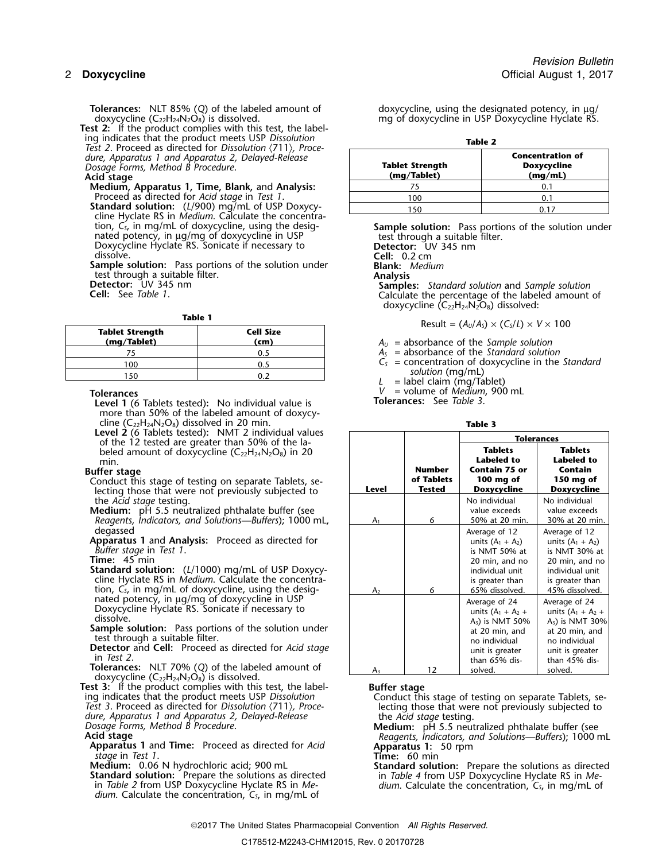**Test 2:** If the product complies with this test, the label-<br>ing indicates that the product meets USP Dissolution ing indicates that the product meets USP *Dissolution* **Table 2** *Test 2*. Proceed as directed for *Dissolution* 〈711〉*, Proce*dure, Apparatus 1 and Apparatus 2, Delayed-Release *Dosage Forms, Method B Procedure.*<br>**Acid stage** 

**Standard solution:** (*L*/900) mg/mL of USP Doxycy-<br>
cline Hyclate RS in *Medium*. Calculate the concentra-<br>
tion, C<sub>s</sub>, in mg/mL of doxycycline, using the desig-<br> **Sample solution:** Pass portions of the solution under mated potency, in jug/mg of doxycycline in USP<br>Doxycycline Hyclate RS. Sonicate if necessary to<br>dissolve. Cell: 0.2 cm

**Sample solution:** Pass portions of the solution under **Blank:** Medium test through a suitable filter.

|                                       |                   | Result = $(A_U/A_S) \times C$    |
|---------------------------------------|-------------------|----------------------------------|
| <b>Tablet Strength</b><br>(mg/Tablet) | Cell Size<br>(cm) | $A_{ij}$ = absorbance of the Sam |
|                                       | 0.5               | $A_s$ = absorbance of the Stan   |
| 100                                   | 0.5               | $C_s$ = concentration of doxyc   |
| 150                                   | 0.2               | solution (mg/mL)                 |
|                                       |                   | = label claim (mg/Tablet)        |

- **Tolerances**<br>**Level 1** (6 Tablets tested): No individual value is *V* = volume of *Medium*, 900 mL **Level 1** (6 Tablets tested): No individual value is more than 50% of the labeled amount of doxycy-
- cline  $(C_{22}H_{24}N_2O_8)$  dissolved in 20 min.<br>**Level 2** (6 Tablets tested): NMT 2 individual values of the 12 tested are greater than 50% of the labeled amount of doxycycline (C<sub>22</sub>H<sub>24</sub>N<sub>2</sub>O<sub>8</sub>) in 20

### **Buffer stage**

- **Conduct this stage of testing on separate Tablets, se**lecting those that were not previously subjected to the *Acid stage* testing.
- **Medium:** pH 5.5 neutralized phthalate buffer (see *Reagents, Indicators, and Solutions—Buffers*); 1000 mL, degassed

**Time:** 45 min

**Tolerances:** NLT 70% (Q) of the labeled amount of doxycycline  $(C_{22}H_{24}N_2O_8)$  is dissolved.<br>**Test 3:** If the product complies with this test, the label-

**Test 3:** If the product complies with this test, the label-<br>
ing indicates that the product meets USP Dissolution<br>
Test 3. Proceed as directed for Dissolution (711), Proce-<br> *Dosage Forms, Method B Procedure.*<br>
Acid stage

**Apparatus 1 and Time:** Proceed as directed for *Acid* **Apparatus 1:** 50 rpm stage in Test 1.

*stage* in *Test 1*. **Time:** 60 min

in *Table 2* from USP Doxycycline Hyclate RS in *Me- dium*. Calculate the concentration, *C<sup>S</sup>*, in mg/mL of *dium*. Calculate the concentration, *C<sup>S</sup>*, in mg/mL of

**Tolerances:** NLT 85% (Q) of the labeled amount of doxycycline, using the designated potency, in µg/<br>doxycycline (C<sub>22</sub>H<sub>24</sub>N<sub>2</sub>O<sub>8</sub>) is dissolved. https://www.mg.of doxycycline in USP Doxycycline Hyclate RS. mg of doxycycline in USP Doxycycline Hyclate RS.

| lest Z. Proceed as directed for Dissolution (711), Proce-<br>dure, Apparatus 1 and Apparatus 2, Delayed-Release<br>Dosage Forms, Method B Procedure.<br>Acid stage | <b>Tablet Strength</b><br>(mg/Tablet) | <b>Concentration of</b><br>Doxycycline<br>(mq/mL) |
|--------------------------------------------------------------------------------------------------------------------------------------------------------------------|---------------------------------------|---------------------------------------------------|
| Medium, Apparatus 1, Time, Blank, and Analysis:                                                                                                                    |                                       |                                                   |
| Proceed as directed for Acid stage in Test 1.                                                                                                                      | 100                                   |                                                   |
| Standard solution: (L/900) mg/mL of USP Doxycy-<br>$\mathbf{R}$ . The state of $\mathbf{R}$ is the state of $\mathbf{R}$                                           | 150                                   | 0.17                                              |

**Cell:** 0.2 cm

test through a suitable filter.<br> **Detector:** UV 345 nm<br> **Cell:** See Table 1. The section of the labeled amount of the labeled amount of the labeled amount of the labeled amount of doxycycline  $(C_{22}H_{24}N_2O_8)$  dissolved:

**Table 1** Result =  $(A_U/A_S) \times (C_S/L) \times V \times 100$ 

 $A_U$  = absorbance of the *Sample solution* 

 $A<sub>S</sub>$  = absorbance of the *Standard solution* 

 $C<sub>S</sub>$  = concentration of doxycycline in the *Standard* solution (mg/mL)

$$
L =
$$
label claim (mg/Table

| <b>Level 2</b> (0 Tablets tested). Thin 2 Illuividual values<br>of the 12 tested are greater than 50% of the la- |                |                             | <b>Tolerances</b>                   |                                     |
|------------------------------------------------------------------------------------------------------------------|----------------|-----------------------------|-------------------------------------|-------------------------------------|
| beled amount of doxycycline $(C_{22}H_{24}N_2O_8)$ in 20<br>min.                                                 |                |                             | <b>Tablets</b><br><b>Labeled</b> to | <b>Tablets</b><br><b>Labeled to</b> |
| ıffer stage<br>onduct this stage of testing on separate Tablets, se-                                             |                | <b>Number</b><br>of Tablets | <b>Contain 75 or</b><br>100 mg of   | Contain<br>150 mg of                |
| lecting those that were not previously subjected to                                                              | <b>Level</b>   | <b>Tested</b>               | Doxycycline                         | Doxycycline                         |
| the <i>Acid stage</i> testing.                                                                                   |                |                             | No individual                       | No individual                       |
| <b>Aedium:</b> pH 5.5 neutralized phthalate buffer (see                                                          |                |                             | value exceeds                       | value exceeds                       |
| Reagents, Indicators, and Solutions—Buffers); 1000 mL,                                                           | A <sub>1</sub> | 6                           | 50% at 20 min.                      | 30% at 20 min.                      |
| degassed                                                                                                         |                |                             | Average of 12                       | Average of 12                       |
| <b>pparatus 1 and Analysis:</b> Proceed as directed for                                                          |                |                             | units $(A_1 + A_2)$                 | units $(A_1 + A_2)$                 |
| Buffer stage in Test 1.                                                                                          |                |                             | is NMT 50% at                       | is NMT 30% at                       |
| $ime:$ 45 min                                                                                                    |                |                             | 20 min, and no                      | 20 min, and no                      |
| <b>tandard solution:</b> $(L/1000)$ mg/mL of USP Doxycy-                                                         |                |                             | individual unit                     | individual unit                     |
| cline Hyclate RS in Medium. Calculate the concentra-                                                             |                |                             | is greater than                     | is greater than                     |
| tion, $C_{s}$ , in mg/mL of doxycycline, using the desig-                                                        | A <sub>2</sub> | 6                           | 65% dissolved.                      | 45% dissolved.                      |
| nated potency, in μg/mg of doxycycline in USP<br>Doxycycline Hyclate RS. Sonicate if necessary to                |                |                             | Average of 24                       | Average of 24                       |
| dissolve.                                                                                                        |                |                             | units $(A_1 + A_2 +$                | units $(A_1 + A_2 +$                |
| <b>ample solution:</b> Pass portions of the solution under                                                       |                |                             | $A_3$ ) is NMT 50%                  | $A_3$ ) is NMT 30%                  |
| test through a suitable filter.                                                                                  |                |                             | at 20 min, and                      | at 20 min, and                      |
| <b>Petector</b> and Cell: Proceed as directed for Acid stage                                                     |                |                             | no individual                       | no individual                       |
| in <i>Test 2.</i>                                                                                                |                |                             | unit is greater                     | unit is greater                     |
| <b>olerances:</b> NLT 70% (Q) of the labeled amount of                                                           |                |                             | than $65%$ dis-                     | than 45% dis-                       |
|                                                                                                                  | $A_3$          | 12                          | solved.                             | solved.                             |

Medium: 0.06 N hydrochloric acid; 900 mL **Standard solution:** Prepare the solutions as directed<br>Standard solution: Prepare the solutions as directed in Table 4 from USP D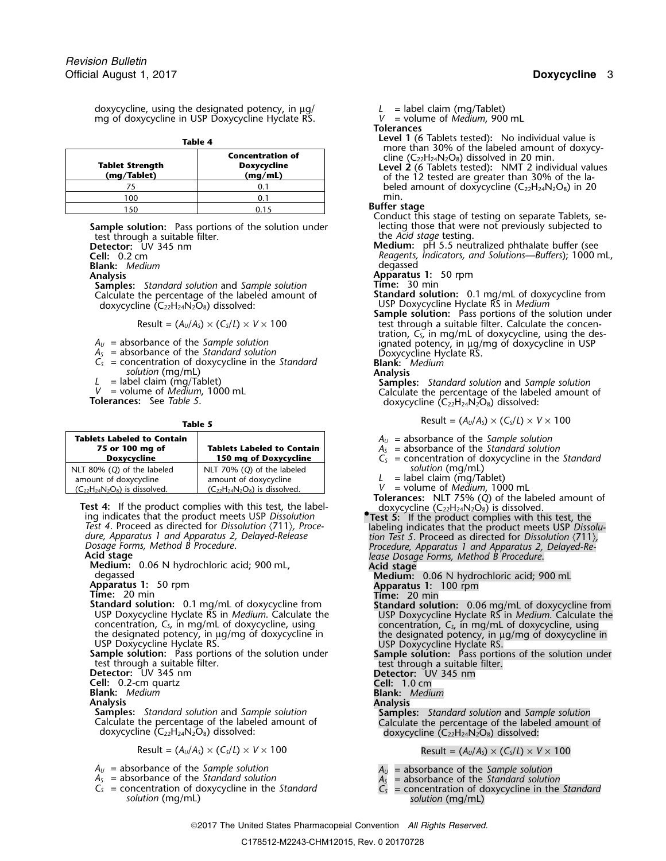doxycycline, using the designated potency, in  $\mu$ g/  $L =$  label claim (mg/Tablet)<br>mg of doxycycline in USP Doxycycline Hyclate RS.  $V =$  volume of *Medium*, 900 mL mg of doxycycline in USP Doxycycline Hyclate RS.

| 11<br>ı<br>۰<br>۰.<br>M. |
|--------------------------|
|--------------------------|

| <b>Tablet Strength</b><br>(mg/Tablet) | <b>Concentration of</b><br><b>Doxycycline</b><br>(mq/mL) | ,,,,,,<br>cline<br>Level<br>of tł       |
|---------------------------------------|----------------------------------------------------------|-----------------------------------------|
|                                       |                                                          | bele                                    |
| 100                                   |                                                          | min.                                    |
| 150                                   |                                                          | <b>Buffer</b> :<br>$\sim$ $\sim$ $\sim$ |

**Sample solution:** Pass portions of the solution under lecting those that were not previously subjected to previo<br>the *Acid stage* testing. test through a suitable filter.<br>**Detector:** UV 345 nm

**Blank:** Medium

**Analysis Apparatus 1:** 50 rpm **Samples:** *Standard solution* and *Sample solution* **Time:** 30 min Calculate the percentage of the labeled amount of doxycycline (C<sub>22</sub>H<sub>24</sub>N<sub>2</sub>O<sub>8</sub>) dissolved:

| <b>Tablets Labeled to Contain</b><br>75 or 100 mg of<br><b>Doxvcvcline</b>                  | <b>Tablets Labeled to Contain</b><br>150 mg of Doxycycline                                  | $A_U$ = absorbance of the Sample so<br>$A_s$ = absorbance of the Standard s<br>$C_s$ = concentration of doxycycline |
|---------------------------------------------------------------------------------------------|---------------------------------------------------------------------------------------------|---------------------------------------------------------------------------------------------------------------------|
| NLT 80% (Q) of the labeled<br>amount of doxycycline<br>$(C_{22}H_{24}N_2O_8)$ is dissolved. | NLT 70% (Q) of the labeled<br>amount of doxycycline<br>$(C_{22}H_{24}N_2O_8)$ is dissolved. | solution (mg/mL)<br>= label claim (mg/Tablet)<br>= volume of <i>Medium</i> , 1000 mL                                |

Test 4: If the product complies with this test, the label-<br>ing indicates that the product meets USP Dissolution<br>Test 5: If the product complies with this test, the<br>Test 4. Proceed as directed for Dissolution (711), Proce-<br>

 $A_U$  = absorbance of the Sample solution<br>  $A_S$  = absorbance of the Standard solution<br>  $C_S$  = concentration of doxycycline in the Standard<br>  $C_S$  = concentration of doxycycline in the Standard<br>  $C_S$  = concentration of doxyc *solution* (mg/mL) *solution* (mg/mL)

**Tolerances**

- **Level 1** (6 Tablets tested): No individual value is<br>more than 30% of the labeled amount of doxycy-<br>cline  $(C_{22}H_{24}N_2O_8)$  dissolved in 20 min.<br>**Level 2** (6 Tablets tested): NMT 2 individual values
- **(mg/Tablet) (mg/mL)** of the 12 tested are greater than 30% of the labeled amount of doxycycline  $(C_{22}H_{24}N_{2}O_{8})$  in 20 min.

- **Buffer stage**<br>
150 Conduct this stage of testing on separate Tablets, se-<br>
150 lecting those that were not previously subjected to
- **Detector:** UV 345 nm **Medium:** pH 5.5 neutralized phthalate buffer (see<br>**Cell:** 0.2 cm **Medium:** *Reagents, Indicators, and Solutions—Buffers*); 1000 r **Cell:** 0.2 cm *Reagents, Indicators, and Solutions—Buffers*); 1000 mL,
	-

doxycycline (C22H24N2O8) dissolved: USP Doxycycline Hyclate RS in *Medium* **Sample solution:** Pass portions of the solution under Result =  $(A_U/A_S) \times (C_S/L) \times V \times 100$  test through a suitable filter. Calculate the concen- $A_U$  = absorbance of the *Sample solution*<br>  $A_S$  = absorbance of the *Sample solution*<br>  $A_S$  = absorbance of the *Standard solution*<br>  $C_S$  = concentration of doxycycline in the *Standard*<br>  $C_S$  = concentration of doxycycl

*L* = label claim (mg/Tablet)<br> *V* = volume of *Medium*, 1000 mL<br> **Calculate the percentage of the labeled amount of doxycycline (** $C_{22}H_{24}N_2O_8$ **) dissolved:** 

**Table 5** 
$$
\mathsf{Result} = (A_0/A_5) \times (C_5/L) \times V \times 100
$$

 $A_U$  = absorbance of the *Sample solution* 

- **75 or 100 mg of Tablets Labeled to Contain** *A<sup>S</sup>* = absorbance of the *Standard solution*
- $C<sub>S</sub>$  = concentration of doxycycline in the *Standard* solution (mg/mL)
	- = label claim (mg/Tablet)
- 
- **Tolerances:** NLT 75% (*Q*) of the labeled amount of
- Dosage Forms, Method B Procedure.<br> **Acid stage**<br> **Acid stage**<br> **Acid stage**<br> **Acid stage**<br> **Acid stage**<br> **Acid stage**<br> **Acid stage**<br> **Acid stage**<br> **Acid stage**<br> **Acid stage**<br> **Acid stage**<br> **Acid stage**<br> **Acid stage**<br> **Acid Standard solution:** 0.1 mg/mL of doxycycline from<br>USP Doxycycline Hyclate RS in *Medium*. Calculate the<br>concentration,  $C_s$ , in mg/mL of doxycycline, using<br>the designated potency, in  $\mu$ g/mg of doxycycline in<br>the design the designated potency, in  $\mu$ g/mg of doxycycline in<br>
USP Doxycycline Hyclate RS.<br> **Sample solution:** Pass portions of the solution under<br>
the designated potency, in  $\mu$ g/mg of doxycycline in<br>
USP Doxycycline Hyclate RS. **Cell:** 0.2-cm quartz **Cell:** 0.2-cm quartz **Cell:** 1.0 cm **Blank:** Medium **Blank:** *Medium* **Blank:** *Medium* **Analysis**<br> **Samples:** Standard solution and Sample solution<br>
Calculate the percentage of the labeled amount of Calculate the percentage of the labeled amount of doxycycline (C<sub>22</sub>H<sub>24</sub>N<sub>2</sub>O<sub>8</sub>) dissolved:<br>
doxycycline (C Result =  $(A_U/A_S) \times (C_S/L) \times V \times 100$  Result =  $(A_U/A_S) \times (C_S/L) \times V \times 100$ 
	-
	-
	- *<sup>C</sup><sup>S</sup>* = concentration of doxycycline in the *Standard <sup>C</sup><sup>S</sup>* = concentration of doxycycline in the *Standard*

2017 The United States Pharmacopeial Convention *All Rights Reserved.*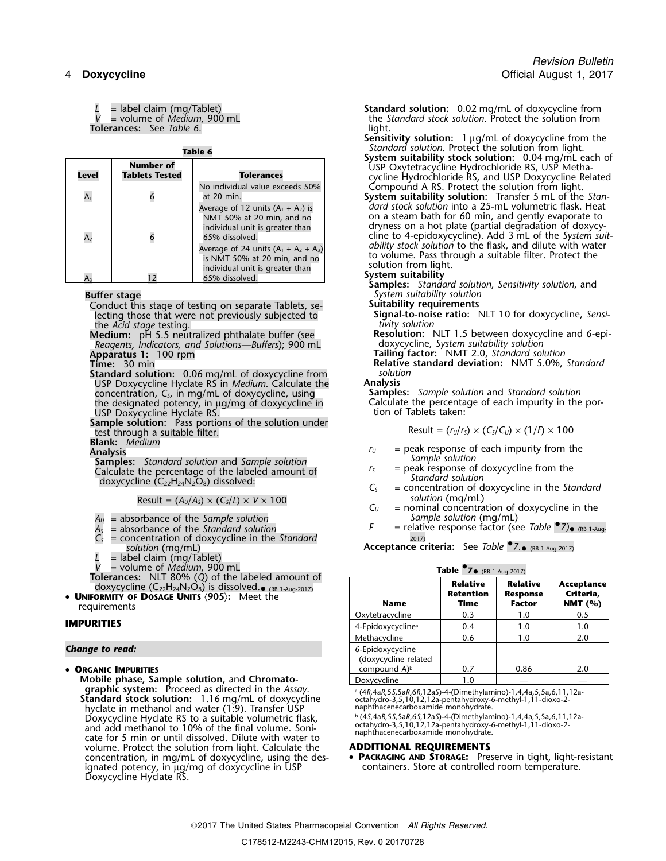**Tolerances:** See *Table 6*. **light.** light.

| Level | <b>Number of</b><br><b>Tablets Tested</b> | <b>Tolerances</b>                                                                                                            |
|-------|-------------------------------------------|------------------------------------------------------------------------------------------------------------------------------|
| A1    |                                           | No individual value exceeds 50%<br>at 20 min.                                                                                |
| A۶    |                                           | Average of 12 units $(A_1 + A_2)$ is<br>NMT 50% at 20 min, and no<br>individual unit is greater than<br>65% dissolved.       |
|       |                                           | Average of 24 units $(A_1 + A_2 + A_3)$<br>is NMT 50% at 20 min, and no<br>individual unit is greater than<br>65% dissolved. |

**Buffer stage** *System suitability solution* Conduct this stage of testing on separate Tablets, se- **Suitability requirements** lecting those that were not previously subjected to **Signal-to-nois**<br>the *Acid stage* testing. **Number** 

*Reagents, Indicators, and Solutions—Buffers*); 900 mL doxycycline, *System suitability solution* **Apparatus 1:** 100 rpm **Tailing factor:** NMT 2.0, *Standard solution*

**Standard solution:** 0.06 mg/mL of doxycycline from *solution* USP Doxycycline Hyclate RS in *Medium*. Calculate the **Analysis** concentration, *C<sup>S</sup>*, in mg/mL of doxycycline, using **Samples:** *Sample solution* and *Standard solution* the designated potency, in µg/mg of doxycycline in Calculate the percentage of each impurity in the por-<br>USP Doxycycline Hyclate RS. USP Doxycycline Hyclate RS. The Control of Tablets taken:

**Sample solution:** Pass portions of the solution under test through a suitable filter.<br>
Result =  $(r_U/r_S) \times (C_S/C_U) \times (1/F) \times 100$ 

**Blank:** *Medium*

**Examples:** Standard solution and Sample solution<br>
Calculate the percentage of the labeled amount of<br>
doxycycline (C<sub>22</sub>H<sub>24</sub>N<sub>2</sub>O<sub>8</sub>) dissolved:<br>
doxycycline (C<sub>22</sub>H<sub>24</sub>N<sub>2</sub>O<sub>8</sub>) dissolved:<br>
doxycycline (C<sub>22</sub>H<sub>24</sub>N<sub>2</sub>O<sub></sub>

 $\text{Result} = (A_U/A_S) \times (C_S/L) \times V \times 100$  *Solution* (mg/mL)<br> $C_U$  = nominal concentra

- *A*<sub>*u*</sub> = absorbance of the *Sample solution*<br>*A<sub>c</sub>* = absorbance of the *Standard solution* F
- $=$  absorbance of the *Standard solution*
- = concentration of doxycycline in the *Standard solution* (mg/mL)
- *L* = label claim (mg/Tablet)
- 
- 
- 
- 

**Mobile phase, Sample solution, and Chromato-EXECUTE AND CONSECRETE:**<br> **Standard stock solution:** 1.16 mg/mL of doxycycline<br> **Standard stock solution:** 1.16 mg/mL of doxycycline<br>
by equals and the Assay.<br> **Standard stock solution:** 1.16 mg/mL of doxycycline<br>
hyclat hyclate in methanol and water (1:9). Transfer USP<br>Doxycycline Hyclate RS to a suitable volumetric flask, Doxycycline Hyclate RS to a suitable volumetric flask, b (45,4aR,55,5aR,65,12aS)-4-(Dimethylamino)-1,4,4a,5,5a,6,11,12a-<br>and add methanol to 10% of the final volume. Soni-b cathydro-3,5,10,12,12a-pentahydroxy-6-methyl-1,11 volume. Protect the solution from light. Calculate the **ADDITIONAL REQUIREMENTS** concentration, in mg/mL of doxycycline, using the des- **• PACKAGING AND STORAGE:** Pres ignated potency, in  $\mu$ g/mg of doxycycline in USP Doxycycline Hyclate RS.

*L* = label claim (mg/Tablet) **Standard solution:** 0.02 mg/mL of doxycycline from *the Standard stock solution*. Protect the solution from

- Sensitivity solution: 1 µg/mL of doxycycline from the Standard solution. Protect the solution from light. Table 6<br>
System suitability stock solution: 0.04 mg/mL each of<br>
System suitability stock solution: 0.04 mg/mL each of<br>
Tolerances<br>
Tolerances<br>
Tolerances<br>
Tolerances<br>
Tolerances<br>
Tolerances<br>
Tolerances<br>
Tolerances<br>
Toleran
	- Compound A RS. Protect the solution from light.
	- System suitability solution: Transfer 5 mL of the Standard stock solution into a 25-mL volumetric flask. Heat no a steam bath for 60 min, and gently evaporate to dryness on a hot plate (partial degradation of doxycycline to 4-epidoxycycline). Add 3 mL of the *System suit-ability stock solution* to the flask, and dilute with water to volume. Pass through a suitable filter. Protect the<br>solution from light.<br>System suitability<br>Samples: Standard solution, Sensitivity solution, and

the *Acid stage* testing. *tivity solution*

**Medium:** pH 5.5 neutralized phthalate buffer (see **Resolution:** NLT 1.5 between doxycycline and Solutions—Buffers): 900 mL

**Time:** 30 min **Relative standard deviation:** NMT 5.0%, *Standard*

- 
- 
- 
- = nominal concentration of doxycycline in the Sample solution (mg/mL)
- $\overline{A_s}$  = absorbance of the *Standard solution*  $\overline{F}$  = relative response factor (see *Table* <sup>•</sup>*7*)• (RB 1-Aug-<br>C<sub>s</sub> = concentration of doxycycline in the *Standard*  $\overline{a}$  *n*

*solution* (mg/mL) **Acceptance criteria:** See *Table •.7.*• (RB 1-Aug-2017)

| $=$ volume of <i>Medium</i> , 900 mL                                                                                                                                                              | Table $\bullet$ 7 $\bullet$ (RB 1-Aug-2017) |                                             |                                                     |                                        |
|---------------------------------------------------------------------------------------------------------------------------------------------------------------------------------------------------|---------------------------------------------|---------------------------------------------|-----------------------------------------------------|----------------------------------------|
| Tolerances: NLT 80% (Q) of the labeled amount of<br>doxycycline $(C_{22}H_{24}N_2O_8)$ is dissolved. $_{\bullet}$ (RB 1-Aug-2017)<br>• UNIFORMITY OF DOSAGE UNITS (905): Meet the<br>requirements | <b>Name</b>                                 | <b>Relative</b><br><b>Retention</b><br>Time | <b>Relative</b><br><b>Response</b><br><b>Factor</b> | Acceptance<br>Criteria.<br>NMT $(\% )$ |
|                                                                                                                                                                                                   | Oxytetracycline                             | 0.3                                         | 1.0                                                 | 0.5                                    |
| IMPURITIES                                                                                                                                                                                        | 4-Epidoxycycline <sup>a</sup>               | 0.4                                         | . 0                                                 | 1.0                                    |
|                                                                                                                                                                                                   | Methacycline                                | 0.6                                         | . 0                                                 | 2.0                                    |
| Change to read:                                                                                                                                                                                   | 6-Epidoxycycline<br>(doxycycline related    |                                             |                                                     |                                        |
| • ORGANIC IMPURITIES                                                                                                                                                                              | compound A) <sup>b</sup>                    | 0.7                                         | 0.86                                                | 2.0                                    |
| Mobile phase, Sample solution, and Chromato-                                                                                                                                                      | Doxycycline                                 | 1.0                                         |                                                     |                                        |

**• PACKAGING AND STORAGE:** Preserve in tight, light-resistant containers. Store at controlled room temperature.